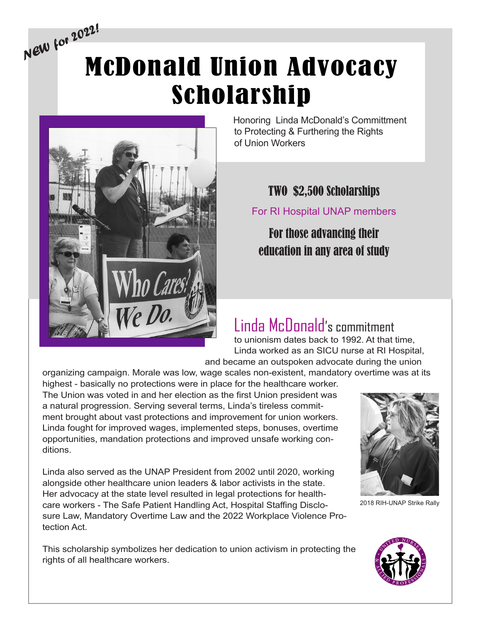# McDonald Union Advocacy Scholarship *NEW for 2022!*



Honoring Linda McDonald's Committment to Protecting & Furthering the Rights of Union Workers

#### TWO \$2,500 Scholarships

For RI Hospital UNAP members

### For those advancing their education in any area of study

## Linda McDonald's commitment

to unionism dates back to 1992. At that time, Linda worked as an SICU nurse at RI Hospital, and became an outspoken advocate during the union

organizing campaign. Morale was low, wage scales non-existent, mandatory overtime was at its

highest - basically no protections were in place for the healthcare worker. The Union was voted in and her election as the first Union president was a natural progression. Serving several terms, Linda's tireless commitment brought about vast protections and improvement for union workers. Linda fought for improved wages, implemented steps, bonuses, overtime opportunities, mandation protections and improved unsafe working conditions.

Linda also served as the UNAP President from 2002 until 2020, working alongside other healthcare union leaders & labor activists in the state. Her advocacy at the state level resulted in legal protections for healthcare workers - The Safe Patient Handling Act, Hospital Staffing Disclosure Law, Mandatory Overtime Law and the 2022 Workplace Violence Protection Act.

This scholarship symbolizes her dedication to union activism in protecting the rights of all healthcare workers.



2018 RIH-UNAP Strike Rally